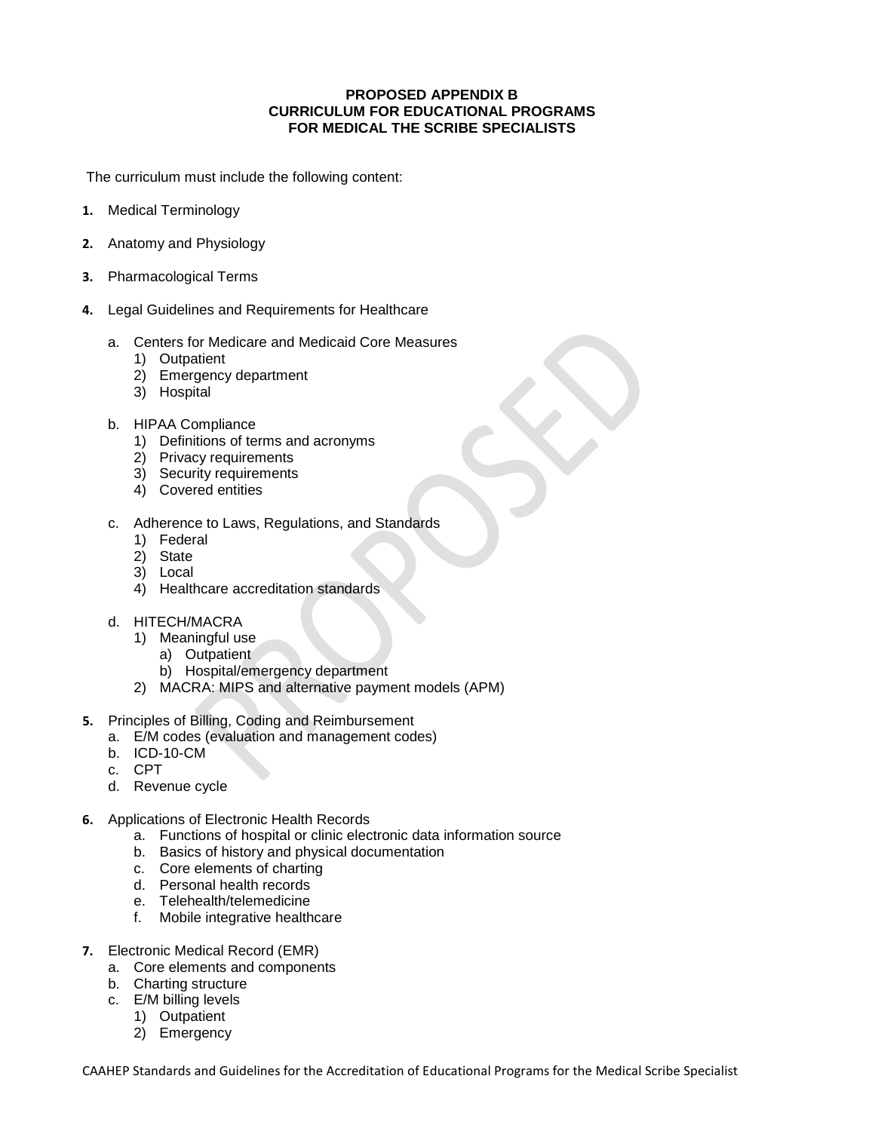## **PROPOSED APPENDIX B CURRICULUM FOR EDUCATIONAL PROGRAMS FOR MEDICAL THE SCRIBE SPECIALISTS**

The curriculum must include the following content:

- **1.** Medical Terminology
- **2.** Anatomy and Physiology
- **3.** Pharmacological Terms
- **4.** Legal Guidelines and Requirements for Healthcare
	- a. Centers for Medicare and Medicaid Core Measures
		- 1) Outpatient
		- 2) Emergency department
		- 3) Hospital
	- b. HIPAA Compliance
		- 1) Definitions of terms and acronyms
		- 2) Privacy requirements
		- 3) Security requirements
		- 4) Covered entities
	- c. Adherence to Laws, Regulations, and Standards
		- 1) Federal
		- 2) State
		- 3) Local
		- 4) Healthcare accreditation standards
	- d. HITECH/MACRA
		- 1) Meaningful use
			- a) Outpatient
			- b) Hospital/emergency department
		- 2) MACRA: MIPS and alternative payment models (APM)
- **5.** Principles of Billing, Coding and Reimbursement
	- a. E/M codes (evaluation and management codes)
	- b. ICD-10-CM
	- c. CPT
	- d. Revenue cycle
- **6.** Applications of Electronic Health Records
	- a. Functions of hospital or clinic electronic data information source
	- b. Basics of history and physical documentation
	- c. Core elements of charting
	- d. Personal health records
	- e. Telehealth/telemedicine
	- f. Mobile integrative healthcare
- **7.** Electronic Medical Record (EMR)
	- a. Core elements and components
	- b. Charting structure
	- c. E/M billing levels
		- 1) Outpatient
		- 2) Emergency

CAAHEP Standards and Guidelines for the Accreditation of Educational Programs for the Medical Scribe Specialist